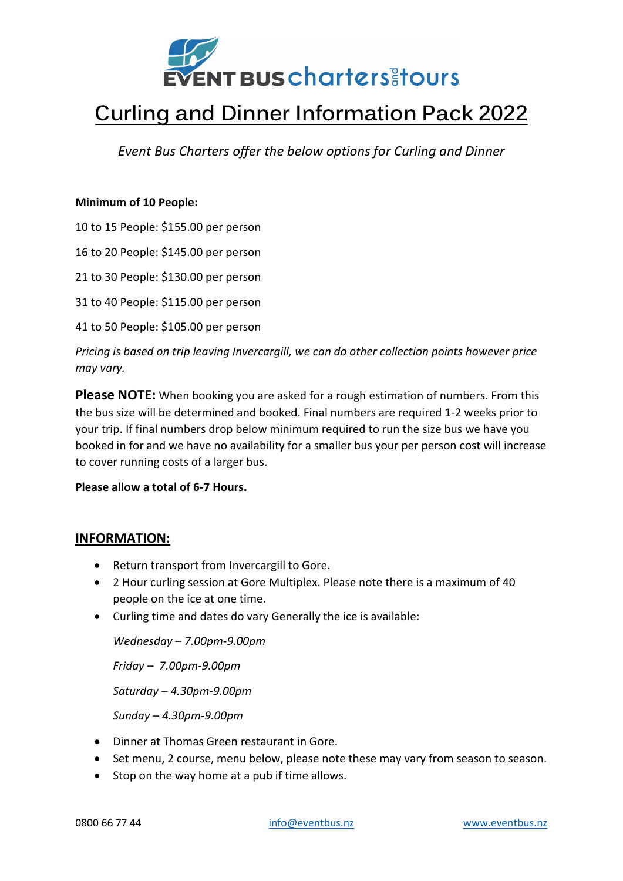

# Curling and Dinner Information Pack 2022

Event Bus Charters offer the below options for Curling and Dinner

#### Minimum of 10 People:

10 to 15 People: \$155.00 per person

16 to 20 People: \$145.00 per person

21 to 30 People: \$130.00 per person

31 to 40 People: \$115.00 per person

41 to 50 People: \$105.00 per person

Pricing is based on trip leaving Invercargill, we can do other collection points however price may vary.

**Please NOTE:** When booking you are asked for a rough estimation of numbers. From this the bus size will be determined and booked. Final numbers are required 1-2 weeks prior to your trip. If final numbers drop below minimum required to run the size bus we have you booked in for and we have no availability for a smaller bus your per person cost will increase to cover running costs of a larger bus.

#### Please allow a total of 6-7 Hours.

#### INFORMATION:

- Return transport from Invercargill to Gore.
- 2 Hour curling session at Gore Multiplex. Please note there is a maximum of 40 people on the ice at one time.
- Curling time and dates do vary Generally the ice is available:

Wednesday – 7.00pm-9.00pm

Friday – 7.00pm-9.00pm

Saturday – 4.30pm-9.00pm

Sunday – 4.30pm-9.00pm

- Dinner at Thomas Green restaurant in Gore.
- Set menu, 2 course, menu below, please note these may vary from season to season.
- Stop on the way home at a pub if time allows.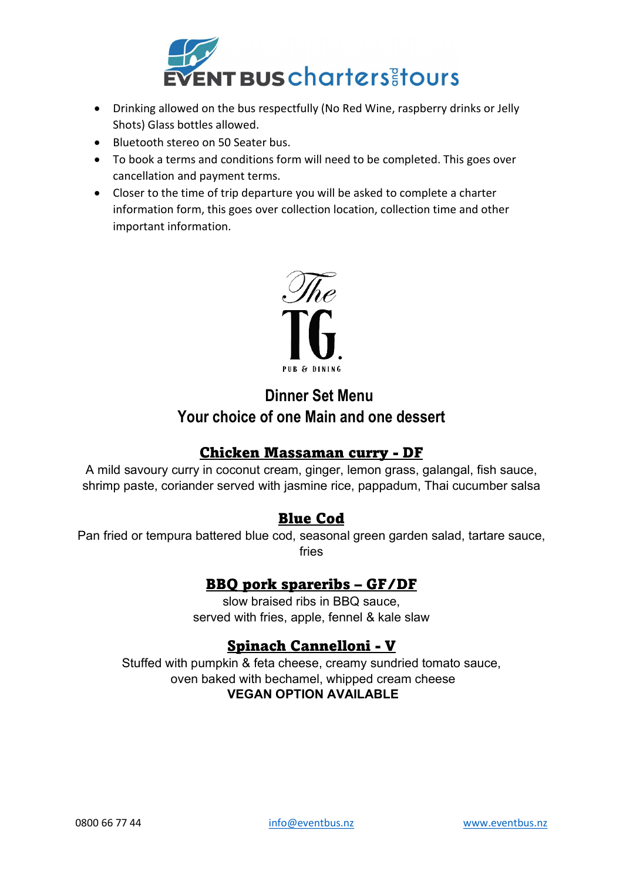

- Drinking allowed on the bus respectfully (No Red Wine, raspberry drinks or Jelly Shots) Glass bottles allowed.
- Bluetooth stereo on 50 Seater bus.
- To book a terms and conditions form will need to be completed. This goes over cancellation and payment terms.
- Closer to the time of trip departure you will be asked to complete a charter information form, this goes over collection location, collection time and other important information.



## Dinner Set Menu Your choice of one Main and one dessert

## Chicken Massaman curry - DF

A mild savoury curry in coconut cream, ginger, lemon grass, galangal, fish sauce, shrimp paste, coriander served with jasmine rice, pappadum, Thai cucumber salsa

## Blue Cod

Pan fried or tempura battered blue cod, seasonal green garden salad, tartare sauce, fries

#### BBQ pork spareribs – GF/DF

slow braised ribs in BBQ sauce, served with fries, apple, fennel & kale slaw

## Spinach Cannelloni - V

Stuffed with pumpkin & feta cheese, creamy sundried tomato sauce, oven baked with bechamel, whipped cream cheese VEGAN OPTION AVAILABLE